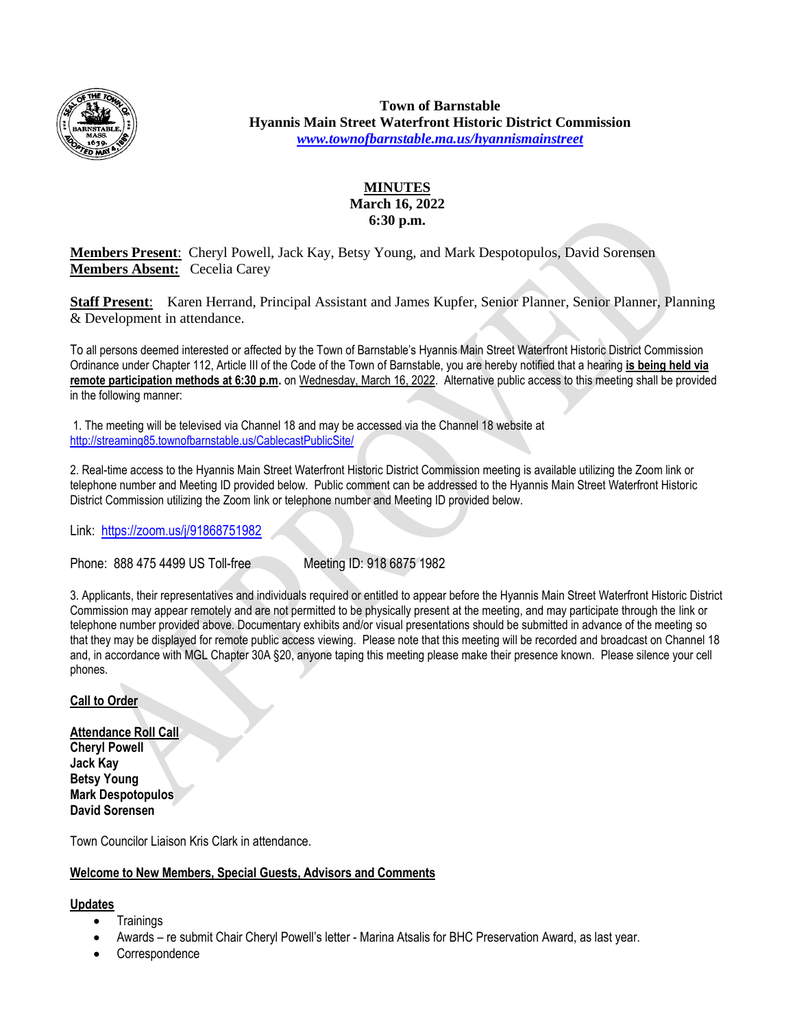

**Town of Barnstable Hyannis Main Street Waterfront Historic District Commission** *[www.townofbarnstable.ma.us/hyannismainstreet](http://www.townofbarnstable.ma.us/hyannismainstreet)*

# **MINUTES March 16, 2022 6:30 p.m.**

**Members Present**: Cheryl Powell, Jack Kay, Betsy Young, and Mark Despotopulos, David Sorensen **Members Absent:** Cecelia Carey

**Staff Present**: Karen Herrand, Principal Assistant and James Kupfer, Senior Planner, Senior Planner, Planning & Development in attendance.

To all persons deemed interested or affected by the Town of Barnstable's Hyannis Main Street Waterfront Historic District Commission Ordinance under Chapter 112, Article III of the Code of the Town of Barnstable, you are hereby notified that a hearing **is being held via remote participation methods at 6:30 p.m.** on Wednesday, March 16, 2022. Alternative public access to this meeting shall be provided in the following manner:

1. The meeting will be televised via Channel 18 and may be accessed via the Channel 18 website at <http://streaming85.townofbarnstable.us/CablecastPublicSite/>

2. Real-time access to the Hyannis Main Street Waterfront Historic District Commission meeting is available utilizing the Zoom link or telephone number and Meeting ID provided below. Public comment can be addressed to the Hyannis Main Street Waterfront Historic District Commission utilizing the Zoom link or telephone number and Meeting ID provided below.

Link: <https://zoom.us/j/91868751982>

Phone: 888 475 4499 US Toll-free Meeting ID: 918 6875 1982

3. Applicants, their representatives and individuals required or entitled to appear before the Hyannis Main Street Waterfront Historic District Commission may appear remotely and are not permitted to be physically present at the meeting, and may participate through the link or telephone number provided above. Documentary exhibits and/or visual presentations should be submitted in advance of the meeting so that they may be displayed for remote public access viewing. Please note that this meeting will be recorded and broadcast on Channel 18 and, in accordance with MGL Chapter 30A §20, anyone taping this meeting please make their presence known. Please silence your cell phones.

# **Call to Order**

**Attendance Roll Call Cheryl Powell Jack Kay Betsy Young Mark Despotopulos David Sorensen**

Town Councilor Liaison Kris Clark in attendance.

## **Welcome to New Members, Special Guests, Advisors and Comments**

## **Updates**

- **Trainings**
- Awards re submit Chair Cheryl Powell's letter Marina Atsalis for BHC Preservation Award, as last year.
- Correspondence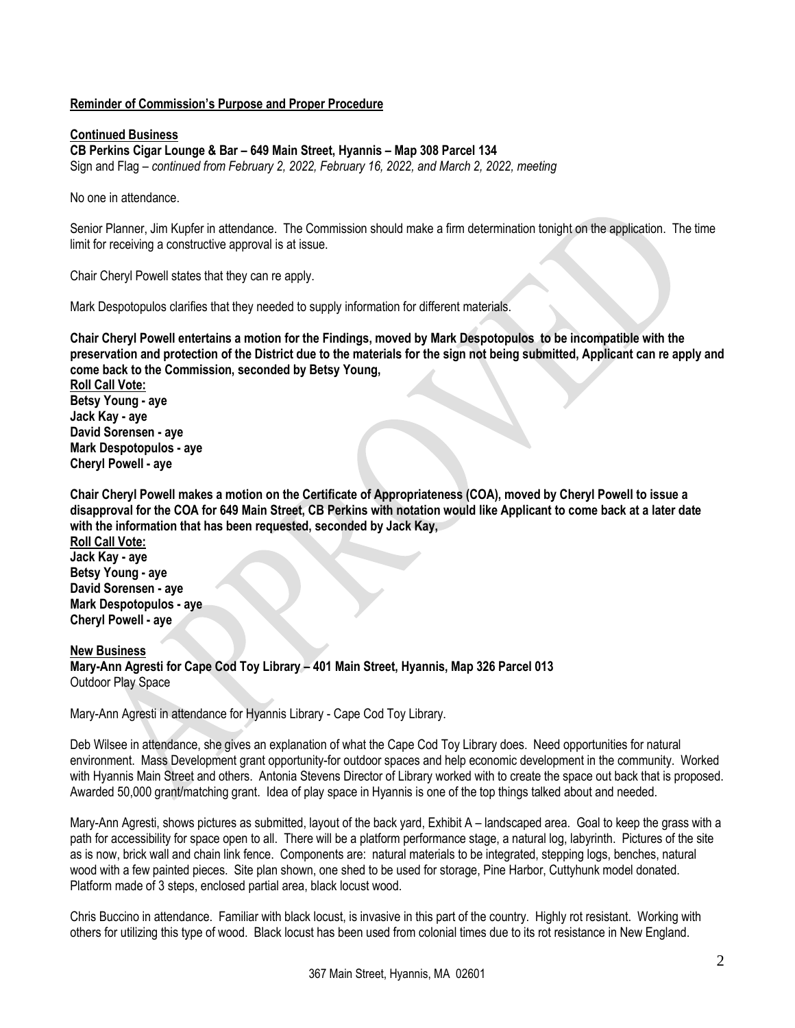## **Reminder of Commission's Purpose and Proper Procedure**

### **Continued Business**

**CB Perkins Cigar Lounge & Bar – 649 Main Street, Hyannis – Map 308 Parcel 134**

Sign and Flag – *continued from February 2, 2022, February 16, 2022, and March 2, 2022, meeting*

No one in attendance.

Senior Planner, Jim Kupfer in attendance. The Commission should make a firm determination tonight on the application. The time limit for receiving a constructive approval is at issue.

Chair Cheryl Powell states that they can re apply.

Mark Despotopulos clarifies that they needed to supply information for different materials.

**Chair Cheryl Powell entertains a motion for the Findings, moved by Mark Despotopulos to be incompatible with the preservation and protection of the District due to the materials for the sign not being submitted, Applicant can re apply and come back to the Commission, seconded by Betsy Young,**

**Roll Call Vote: Betsy Young - aye Jack Kay - aye David Sorensen - aye Mark Despotopulos - aye Cheryl Powell - aye**

**Chair Cheryl Powell makes a motion on the Certificate of Appropriateness (COA), moved by Cheryl Powell to issue a disapproval for the COA for 649 Main Street, CB Perkins with notation would like Applicant to come back at a later date with the information that has been requested, seconded by Jack Kay,**

**Roll Call Vote: Jack Kay - aye Betsy Young - aye David Sorensen - aye Mark Despotopulos - aye Cheryl Powell - aye**

**New Business Mary-Ann Agresti for Cape Cod Toy Library – 401 Main Street, Hyannis, Map 326 Parcel 013** Outdoor Play Space

Mary-Ann Agresti in attendance for Hyannis Library - Cape Cod Toy Library.

Deb Wilsee in attendance, she gives an explanation of what the Cape Cod Toy Library does. Need opportunities for natural environment. Mass Development grant opportunity-for outdoor spaces and help economic development in the community. Worked with Hyannis Main Street and others. Antonia Stevens Director of Library worked with to create the space out back that is proposed. Awarded 50,000 grant/matching grant. Idea of play space in Hyannis is one of the top things talked about and needed.

Mary-Ann Agresti, shows pictures as submitted, layout of the back yard, Exhibit A – landscaped area. Goal to keep the grass with a path for accessibility for space open to all. There will be a platform performance stage, a natural log, labyrinth. Pictures of the site as is now, brick wall and chain link fence. Components are: natural materials to be integrated, stepping logs, benches, natural wood with a few painted pieces. Site plan shown, one shed to be used for storage, Pine Harbor, Cuttyhunk model donated. Platform made of 3 steps, enclosed partial area, black locust wood.

Chris Buccino in attendance. Familiar with black locust, is invasive in this part of the country. Highly rot resistant. Working with others for utilizing this type of wood. Black locust has been used from colonial times due to its rot resistance in New England.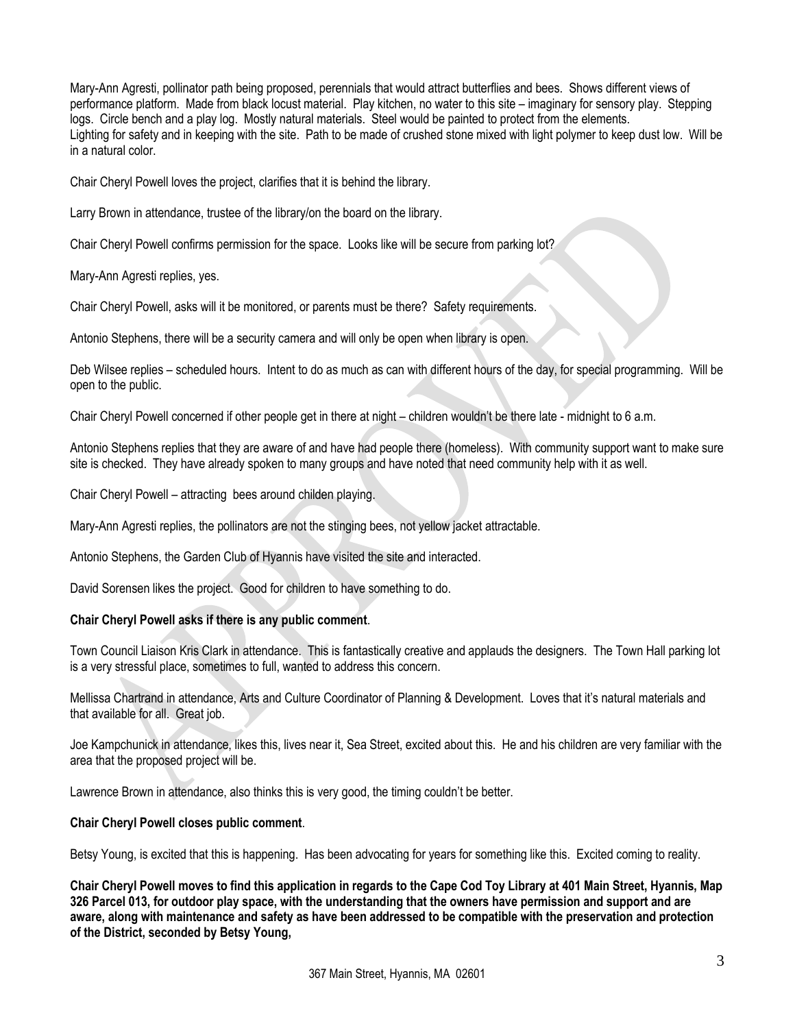Mary-Ann Agresti, pollinator path being proposed, perennials that would attract butterflies and bees. Shows different views of performance platform. Made from black locust material. Play kitchen, no water to this site – imaginary for sensory play. Stepping logs. Circle bench and a play log. Mostly natural materials. Steel would be painted to protect from the elements. Lighting for safety and in keeping with the site. Path to be made of crushed stone mixed with light polymer to keep dust low. Will be in a natural color.

Chair Cheryl Powell loves the project, clarifies that it is behind the library.

Larry Brown in attendance, trustee of the library/on the board on the library.

Chair Cheryl Powell confirms permission for the space. Looks like will be secure from parking lot?

Mary-Ann Agresti replies, yes.

Chair Cheryl Powell, asks will it be monitored, or parents must be there? Safety requirements.

Antonio Stephens, there will be a security camera and will only be open when library is open.

Deb Wilsee replies – scheduled hours. Intent to do as much as can with different hours of the day, for special programming. Will be open to the public.

Chair Cheryl Powell concerned if other people get in there at night – children wouldn't be there late - midnight to 6 a.m.

Antonio Stephens replies that they are aware of and have had people there (homeless). With community support want to make sure site is checked. They have already spoken to many groups and have noted that need community help with it as well.

Chair Cheryl Powell – attracting bees around childen playing.

Mary-Ann Agresti replies, the pollinators are not the stinging bees, not yellow jacket attractable.

Antonio Stephens, the Garden Club of Hyannis have visited the site and interacted.

David Sorensen likes the project. Good for children to have something to do.

#### **Chair Cheryl Powell asks if there is any public comment**.

Town Council Liaison Kris Clark in attendance. This is fantastically creative and applauds the designers. The Town Hall parking lot is a very stressful place, sometimes to full, wanted to address this concern.

Mellissa Chartrand in attendance, Arts and Culture Coordinator of Planning & Development. Loves that it's natural materials and that available for all. Great job.

Joe Kampchunick in attendance, likes this, lives near it, Sea Street, excited about this. He and his children are very familiar with the area that the proposed project will be.

Lawrence Brown in attendance, also thinks this is very good, the timing couldn't be better.

#### **Chair Cheryl Powell closes public comment**.

Betsy Young, is excited that this is happening. Has been advocating for years for something like this. Excited coming to reality.

**Chair Cheryl Powell moves to find this application in regards to the Cape Cod Toy Library at 401 Main Street, Hyannis, Map 326 Parcel 013, for outdoor play space, with the understanding that the owners have permission and support and are aware, along with maintenance and safety as have been addressed to be compatible with the preservation and protection of the District, seconded by Betsy Young,**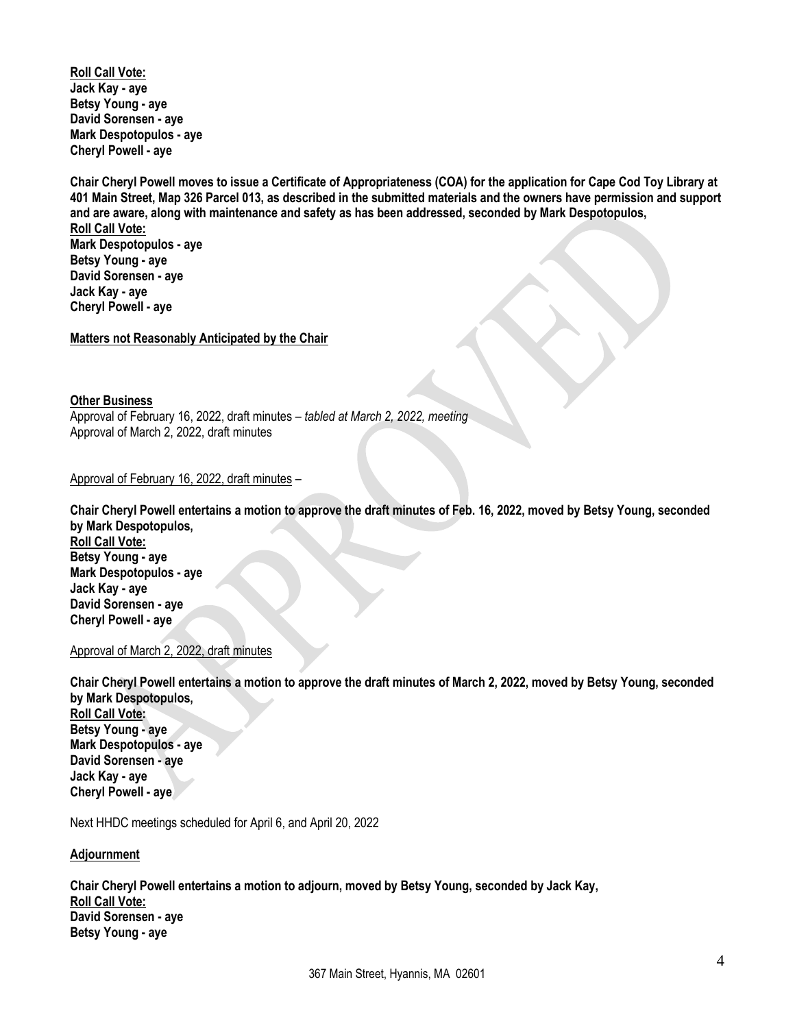**Roll Call Vote: Jack Kay - aye Betsy Young - aye David Sorensen - aye Mark Despotopulos - aye Cheryl Powell - aye**

**Chair Cheryl Powell moves to issue a Certificate of Appropriateness (COA) for the application for Cape Cod Toy Library at 401 Main Street, Map 326 Parcel 013, as described in the submitted materials and the owners have permission and support and are aware, along with maintenance and safety as has been addressed, seconded by Mark Despotopulos, Roll Call Vote: Mark Despotopulos - aye Betsy Young - aye David Sorensen - aye Jack Kay - aye Cheryl Powell - aye**

**Matters not Reasonably Anticipated by the Chair**

#### **Other Business**

Approval of February 16, 2022, draft minutes – *tabled at March 2, 2022, meeting* Approval of March 2, 2022, draft minutes

### Approval of February 16, 2022, draft minutes –

**Chair Cheryl Powell entertains a motion to approve the draft minutes of Feb. 16, 2022, moved by Betsy Young, seconded by Mark Despotopulos, Roll Call Vote: Betsy Young - aye Mark Despotopulos - aye Jack Kay - aye David Sorensen - aye Cheryl Powell - aye**

#### Approval of March 2, 2022, draft minutes

**Chair Cheryl Powell entertains a motion to approve the draft minutes of March 2, 2022, moved by Betsy Young, seconded by Mark Despotopulos, Roll Call Vote: Betsy Young - aye Mark Despotopulos - aye David Sorensen - aye Jack Kay - aye Cheryl Powell - aye**

Next HHDC meetings scheduled for April 6, and April 20, 2022

#### **Adjournment**

**Chair Cheryl Powell entertains a motion to adjourn, moved by Betsy Young, seconded by Jack Kay, Roll Call Vote: David Sorensen - aye Betsy Young - aye**